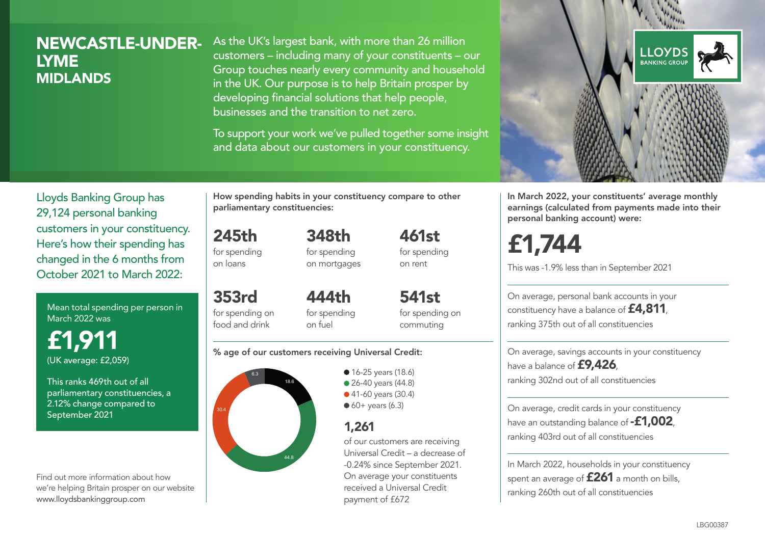# NEWCASTLE-UNDER-LYME **MIDLANDS**

As the UK's largest bank, with more than 26 million customers – including many of your constituents – our Group touches nearly every community and household in the UK. Our purpose is to help Britain prosper by developing financial solutions that help people, businesses and the transition to net zero.

To support your work we've pulled together some insight and data about our customers in your constituency.



Mean total spending per person in March 2022 was

£1,911 (UK average: £2,059)

This ranks 469th out of all parliamentary constituencies, a 2.12% change compared to September 2021

Find out more information about how we're helping Britain prosper on our website www.lloydsbankinggroup.com

How spending habits in your constituency compare to other parliamentary constituencies:

245th for spending 348th

on loans

353rd

for spending on mortgages 461st for spending on rent

for spending on food and drink 444th for spending on fuel

541st for spending on commuting

#### % age of our customers receiving Universal Credit:



• 16-25 years (18.6) • 26-40 years (44.8) ● 41-60 years (30.4)  $60+$  years (6.3)

# 1,261

of our customers are receiving Universal Credit – a decrease of -0.24% since September 2021. On average your constituents received a Universal Credit payment of £672



In March 2022, your constituents' average monthly earnings (calculated from payments made into their personal banking account) were:

# £1,744

This was -1.9% less than in September 2021

On average, personal bank accounts in your constituency have a balance of **£4,811**, ranking 375th out of all constituencies

On average, savings accounts in your constituency have a balance of **£9,426**, ranking 302nd out of all constituencies

On average, credit cards in your constituency have an outstanding balance of **-£1,002**, ranking 403rd out of all constituencies

In March 2022, households in your constituency spent an average of **£261** a month on bills, ranking 260th out of all constituencies